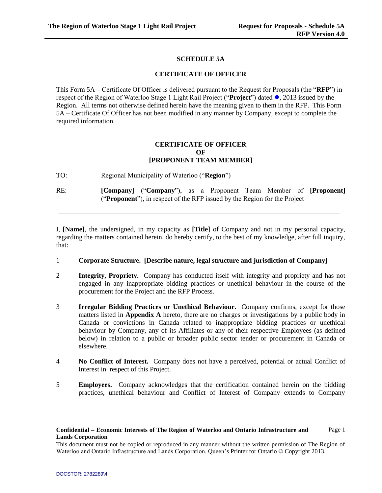Page 1

## **SCHEDULE 5A**

### **CERTIFICATE OF OFFICER**

This Form 5A – Certificate Of Officer is delivered pursuant to the Request for Proposals (the "**RFP**") in respect of the Region of Waterloo Stage 1 Light Rail Project ("**Project**") dated **.** 2013 issued by the Region. All terms not otherwise defined herein have the meaning given to them in the RFP. This Form 5A – Certificate Of Officer has not been modified in any manner by Company, except to complete the required information.

### **CERTIFICATE OF OFFICER OF [PROPONENT TEAM MEMBER]**

TO: Regional Municipality of Waterloo ("**Region**")

RE: **[Company]** ("**Company**"), as a Proponent Team Member of **[Proponent]** ("**Proponent**"), in respect of the RFP issued by the Region for the Project

I, **[Name]**, the undersigned, in my capacity as **[Title]** of Company and not in my personal capacity, regarding the matters contained herein, do hereby certify, to the best of my knowledge, after full inquiry, that:

- 1 **Corporate Structure. [Describe nature, legal structure and jurisdiction of Company]**
- 2 **Integrity, Propriety.** Company has conducted itself with integrity and propriety and has not engaged in any inappropriate bidding practices or unethical behaviour in the course of the procurement for the Project and the RFP Process.
- 3 **Irregular Bidding Practices or Unethical Behaviour.** Company confirms, except for those matters listed in **Appendix A** hereto, there are no charges or investigations by a public body in Canada or convictions in Canada related to inappropriate bidding practices or unethical behaviour by Company, any of its Affiliates or any of their respective Employees (as defined below) in relation to a public or broader public sector tender or procurement in Canada or elsewhere.
- 4 **No Conflict of Interest.** Company does not have a perceived, potential or actual Conflict of Interest in respect of this Project.
- 5 **Employees.** Company acknowledges that the certification contained herein on the bidding practices, unethical behaviour and Conflict of Interest of Company extends to Company

### **Confidential – Economic Interests of The Region of Waterloo and Ontario Infrastructure and Lands Corporation**

This document must not be copied or reproduced in any manner without the written permission of The Region of Waterloo and Ontario Infrastructure and Lands Corporation. Queen's Printer for Ontario © Copyright 2013.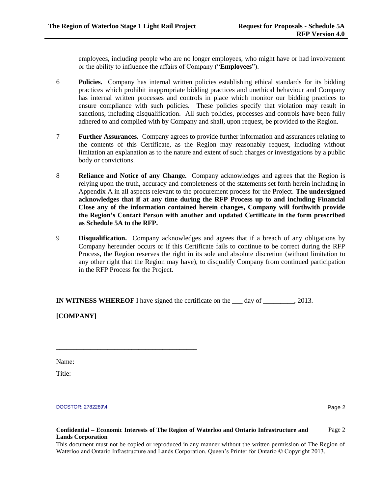employees, including people who are no longer employees, who might have or had involvement or the ability to influence the affairs of Company ("**Employees**").

- 6 **Policies.** Company has internal written policies establishing ethical standards for its bidding practices which prohibit inappropriate bidding practices and unethical behaviour and Company has internal written processes and controls in place which monitor our bidding practices to ensure compliance with such policies. These policies specify that violation may result in sanctions, including disqualification. All such policies, processes and controls have been fully adhered to and complied with by Company and shall, upon request, be provided to the Region.
- 7 **Further Assurances.** Company agrees to provide further information and assurances relating to the contents of this Certificate, as the Region may reasonably request, including without limitation an explanation as to the nature and extent of such charges or investigations by a public body or convictions.
- 8 **Reliance and Notice of any Change.** Company acknowledges and agrees that the Region is relying upon the truth, accuracy and completeness of the statements set forth herein including in Appendix A in all aspects relevant to the procurement process for the Project. **The undersigned acknowledges that if at any time during the RFP Process up to and including Financial Close any of the information contained herein changes, Company will forthwith provide the Region's Contact Person with another and updated Certificate in the form prescribed as Schedule 5A to the RFP.**
- 9 **Disqualification.** Company acknowledges and agrees that if a breach of any obligations by Company hereunder occurs or if this Certificate fails to continue to be correct during the RFP Process, the Region reserves the right in its sole and absolute discretion (without limitation to any other right that the Region may have), to disqualify Company from continued participation in the RFP Process for the Project.

**IN WITNESS WHEREOF** I have signed the certificate on the \_\_\_ day of \_\_\_\_\_\_\_\_\_, 2013.

**[COMPANY]**

\_\_\_\_\_\_\_\_\_\_\_\_\_\_\_\_\_\_\_\_\_\_\_\_\_\_\_\_\_\_\_\_\_\_\_\_\_\_\_\_\_

Name:

Title:

#### DOCSTOR: 2782289\4

Page 2

Page 2

### **Confidential – Economic Interests of The Region of Waterloo and Ontario Infrastructure and Lands Corporation**

This document must not be copied or reproduced in any manner without the written permission of The Region of Waterloo and Ontario Infrastructure and Lands Corporation. Queen's Printer for Ontario © Copyright 2013.